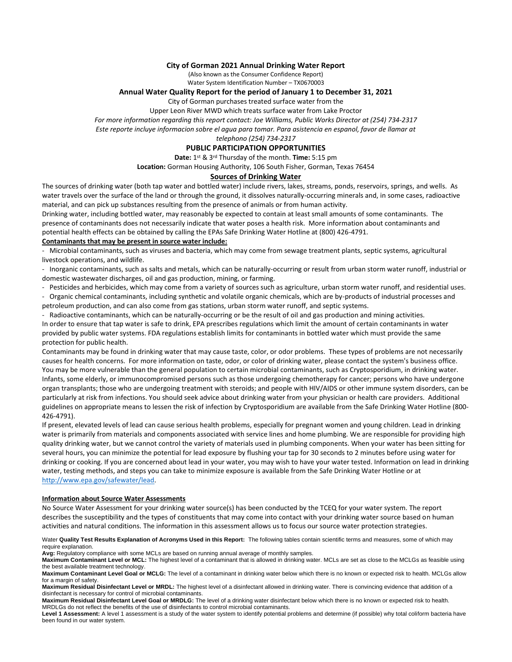## **City of Gorman 2021 Annual Drinking Water Report**

(Also known as the Consumer Confidence Report) Water System Identification Number – TX0670003

## **Annual Water Quality Report for the period of January 1 to December 31, 2021**

City of Gorman purchases treated surface water from the

Upper Leon River MWD which treats surface water from Lake Proctor

*For more information regarding this report contact: Joe Williams, Public Works Director at (254) 734-2317*

*Este reporte incluye informacion sobre el agua para tomar. Para asistencia en espanol, favor de llamar at* 

#### *telephono (254) 734-2317* **PUBLIC PARTICIPATION OPPORTUNITIES**

**Date:** 1 st & 3rd Thursday of the month. **Time:** 5:15 pm

**Location:** Gorman Housing Authority, 106 South Fisher, Gorman, Texas 76454

### **Sources of Drinking Water**

The sources of drinking water (both tap water and bottled water) include rivers, lakes, streams, ponds, reservoirs, springs, and wells. As water travels over the surface of the land or through the ground, it dissolves naturally-occurring minerals and, in some cases, radioactive material, and can pick up substances resulting from the presence of animals or from human activity.

Drinking water, including bottled water, may reasonably be expected to contain at least small amounts of some contaminants. The presence of contaminants does not necessarily indicate that water poses a health risk. More information about contaminants and potential health effects can be obtained by calling the EPAs Safe Drinking Water Hotline at (800) 426-4791.

### **Contaminants that may be present in source water include:**

- Microbial contaminants, such as viruses and bacteria, which may come from sewage treatment plants, septic systems, agricultural livestock operations, and wildlife.

- Inorganic contaminants, such as salts and metals, which can be naturally-occurring or result from urban storm water runoff, industrial or domestic wastewater discharges, oil and gas production, mining, or farming.

- Pesticides and herbicides, which may come from a variety of sources such as agriculture, urban storm water runoff, and residential uses.

- Organic chemical contaminants, including synthetic and volatile organic chemicals, which are by-products of industrial processes and petroleum production, and can also come from gas stations, urban storm water runoff, and septic systems.

- Radioactive contaminants, which can be naturally-occurring or be the result of oil and gas production and mining activities. In order to ensure that tap water is safe to drink, EPA prescribes regulations which limit the amount of certain contaminants in water provided by public water systems. FDA regulations establish limits for contaminants in bottled water which must provide the same protection for public health.

Contaminants may be found in drinking water that may cause taste, color, or odor problems. These types of problems are not necessarily causes for health concerns. For more information on taste, odor, or color of drinking water, please contact the system's business office. You may be more vulnerable than the general population to certain microbial contaminants, such as Cryptosporidium, in drinking water. Infants, some elderly, or immunocompromised persons such as those undergoing chemotherapy for cancer; persons who have undergone organ transplants; those who are undergoing treatment with steroids; and people with HIV/AIDS or other immune system disorders, can be particularly at risk from infections. You should seek advice about drinking water from your physician or health care providers. Additional guidelines on appropriate means to lessen the risk of infection by Cryptosporidium are available from the Safe Drinking Water Hotline (800- 426-4791).

If present, elevated levels of lead can cause serious health problems, especially for pregnant women and young children. Lead in drinking water is primarily from materials and components associated with service lines and home plumbing. We are responsible for providing high quality drinking water, but we cannot control the variety of materials used in plumbing components. When your water has been sitting for several hours, you can minimize the potential for lead exposure by flushing your tap for 30 seconds to 2 minutes before using water for drinking or cooking. If you are concerned about lead in your water, you may wish to have your water tested. Information on lead in drinking water, testing methods, and steps you can take to minimize exposure is available from the Safe Drinking Water Hotline or at [http://www.epa.gov/safewater/lead.](http://www.epa.gov/safewater/lead)

#### **Information about Source Water Assessments**

No Source Water Assessment for your drinking water source(s) has been conducted by the TCEQ for your water system. The report describes the susceptibility and the types of constituents that may come into contact with your drinking water source based on human activities and natural conditions. The information in this assessment allows us to focus our source water protection strategies.

Water **Quality Test Results Explanation of Acronyms Used in this Report:** The following tables contain scientific terms and measures, some of which may require explanation.

**Avg:** Regulatory compliance with some MCLs are based on running annual average of monthly samples.

**Maximum Contaminant Level or MCL:** The highest level of a contaminant that is allowed in drinking water. MCLs are set as close to the MCLGs as feasible using the best available treatment technology.

**Maximum Contaminant Level Goal or MCLG:** The level of a contaminant in drinking water below which there is no known or expected risk to health. MCLGs allow for a margin of safety.

**Maximum Residual Disinfectant Level or MRDL:** The highest level of a disinfectant allowed in drinking water. There is convincing evidence that addition of a disinfectant is necessary for control of microbial contaminants.

**Maximum Residual Disinfectant Level Goal or MRDLG:** The level of a drinking water disinfectant below which there is no known or expected risk to health. MRDLGs do not reflect the benefits of the use of disinfectants to control microbial contaminants.

Level 1 Assessment: A level 1 assessment is a study of the water system to identify potential problems and determine (if possible) why total coliform bacteria have been found in our water system.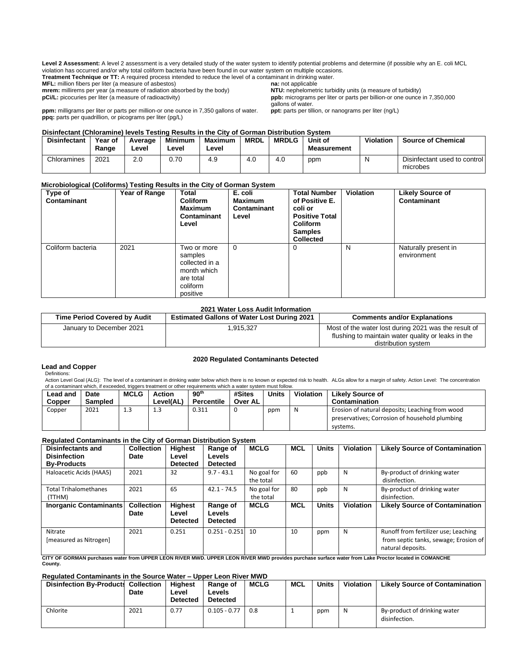**Level 2 Assessment:** A level 2 assessment is a very detailed study of the water system to identify potential problems and determine (if possible why an E. coli MCL violation has occurred and/or why total coliform bacteria have been found in our water system on multiple occasions.

**Treatment Technique or TT:** A required process intended to reduce the level of a contaminant in drinking water.<br>**MFL:** million fibers per liter (a measure of asbestos) **na:** not applicable

**mrem:** millirems per year (a measure of radiation absorbed by the body) **pCi/L:** picocuries per liter (a measure of radioactivity)

**ppm:** milligrams per liter or parts per million-or one ounce in 7,350 gallons of water. **ppq:** parts per quadrillion, or picograms per liter (pg/L)

**MFL:** million fibers per liter (a measure of asbestos) **na:** not applicable **na:** not applicable **n**<br>**niteral**: millirems per year (a measure of radiation absorbed by the body) **NTU:** nephelometric turbidity units (a meas **ppb:** micrograms per liter or parts per billion-or one ounce in 7,350,000 gallons of water.<br> **ppt:** parts per tillion, or nanograms per liter (ng/L)

# **Disinfectant (Chloramine) levels Testing Results in the City of Gorman Distribution System**

| <b>Disinfectant</b> | Year of<br>Range | Average<br>Level | <b>Minimum</b><br>∟evel | <b>Maximum</b><br>Level | <b>MRDL</b> | <b>MRDLG</b> | Unit of<br><b>Measurement</b> | Violation | <b>Source of Chemical</b>                |
|---------------------|------------------|------------------|-------------------------|-------------------------|-------------|--------------|-------------------------------|-----------|------------------------------------------|
| Chloramines         | 2021             | 2.0              | 0.70                    | 4.9                     | 4.0         | 4.0          | ppm                           | N         | Disinfectant used to control<br>microbes |

### **Microbiological (Coliforms) Testing Results in the City of Gorman System**

| Type of<br>Contaminant | Year of Range | <b>Total</b><br><b>Coliform</b><br>Maximum<br>Contaminant<br>Level                           | E. coli<br><b>Maximum</b><br>Contaminant<br>Level | <b>Total Number</b><br>of Positive E.<br>coli or<br><b>Positive Total</b><br><b>Coliform</b><br><b>Samples</b><br><b>Collected</b> | <b>Violation</b> | <b>Likely Source of</b><br>Contaminant |
|------------------------|---------------|----------------------------------------------------------------------------------------------|---------------------------------------------------|------------------------------------------------------------------------------------------------------------------------------------|------------------|----------------------------------------|
| Coliform bacteria      | 2021          | Two or more<br>samples<br>collected in a<br>month which<br>are total<br>coliform<br>positive | $\Omega$                                          | 0                                                                                                                                  | N                | Naturally present in<br>environment    |

## **2021 Water Loss Audit Information**

| <b>Time Period Covered by Audit</b> | <b>Estimated Gallons of Water Lost During 2021</b> | <b>Comments and/or Explanations</b>                                                                        |
|-------------------------------------|----------------------------------------------------|------------------------------------------------------------------------------------------------------------|
| January to December 2021            | 1,915,327                                          | Most of the water lost during 2021 was the result of<br>flushing to maintain water quality or leaks in the |
|                                     |                                                    | distribution system                                                                                        |

#### **2020 Regulated Contaminants Detected**

#### **Lead and Copper** Definitions:

Action Level Goal (ALG): The level of a contaminant in drinking water below which there is no known or expected risk to health. ALGs allow for a margin of safety. Action Level: The concentration of a contaminant which, if exceeded, triggers treatment or other requirements which a water system must follow.

| Lead and<br>Copper | Date<br><b>Sampled</b> | MCLG | Action<br>Level(AL) | 90 <sup>th</sup><br>Percentile | #Sites<br>Over AL | Units | Violation | <b>Likely Source of</b><br>Contamination                                                                      |
|--------------------|------------------------|------|---------------------|--------------------------------|-------------------|-------|-----------|---------------------------------------------------------------------------------------------------------------|
| Copper             | 2021                   | 1.3  | 1.3                 | 0.311                          |                   | ppm   | N         | Erosion of natural deposits; Leaching from wood<br>preservatives; Corrosion of household plumbing<br>systems. |

#### **Regulated Contaminants in the City of Gorman Distribution System**

| <b>Disinfectants and</b><br><b>Disinfection</b><br><b>By-Products</b> | <b>Collection</b><br>Date | <b>Highest</b><br>Level<br><b>Detected</b> | Range of<br><b>Levels</b><br><b>Detected</b>        | <b>MCLG</b>              | <b>MCL</b> | <b>Units</b> | <b>Violation</b> | <b>Likely Source of Contamination</b>                                                              |
|-----------------------------------------------------------------------|---------------------------|--------------------------------------------|-----------------------------------------------------|--------------------------|------------|--------------|------------------|----------------------------------------------------------------------------------------------------|
| Haloacetic Acids (HAA5)                                               | 2021                      | 32                                         | $9.7 - 43.1$                                        | No goal for<br>the total | 60         | ppb          | N                | By-product of drinking water<br>disinfection.                                                      |
| <b>Total Trihalomethanes</b><br>(TTHM)                                | 2021                      | 65                                         | $42.1 - 74.5$                                       | No goal for<br>the total | 80         | ppb          | N                | By-product of drinking water<br>disinfection.                                                      |
| <b>Inorganic Contaminants</b>                                         | <b>Collection</b><br>Date | <b>Highest</b><br>Level<br><b>Detected</b> | <b>Range of</b><br><b>Levels</b><br><b>Detected</b> | <b>MCLG</b>              | <b>MCL</b> | <b>Units</b> | <b>Violation</b> | <b>Likely Source of Contamination</b>                                                              |
| Nitrate<br>[measured as Nitrogen]                                     | 2021                      | 0.251                                      | $0.251 - 0.251$                                     | 10                       | 10         | ppm          | N                | Runoff from fertilizer use; Leaching<br>from septic tanks, sewage; Erosion of<br>natural deposits. |

**CITY OF GORMAN purchases water from UPPER LEON RIVER MWD. UPPER LEON RIVER MWD provides purchase surface water from Lake Proctor located in COMANCHE County.**

#### **Regulated Contaminants in the Source Water – Upper Leon River MWD**

| <b>Disinfection By-Products</b> | <b>Collection</b><br>Date | <b>Highest</b><br>Level<br><b>Detected</b> | <b>Range of</b><br>Levels<br><b>Detected</b> | <b>MCLG</b> | <b>MCL</b> | Units | <b>Violation</b> | <b>Likely Source of Contamination</b>         |
|---------------------------------|---------------------------|--------------------------------------------|----------------------------------------------|-------------|------------|-------|------------------|-----------------------------------------------|
| Chlorite                        | 2021                      | 0.77                                       | $0.105 - 0.77$                               | 0.8         |            | ppm   | N                | By-product of drinking water<br>disinfection. |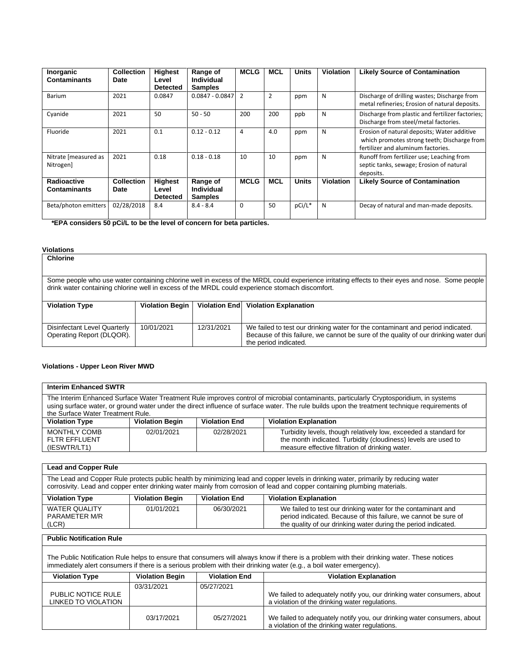| Inorganic<br><b>Contaminants</b>   | <b>Collection</b><br><b>Date</b> | <b>Highest</b><br>Level<br><b>Detected</b> | Range of<br>Individual<br><b>Samples</b> | <b>MCLG</b> | <b>MCL</b>     | <b>Units</b> | <b>Violation</b> | <b>Likely Source of Contamination</b>                                                                                            |
|------------------------------------|----------------------------------|--------------------------------------------|------------------------------------------|-------------|----------------|--------------|------------------|----------------------------------------------------------------------------------------------------------------------------------|
| <b>Barium</b>                      | 2021                             | 0.0847                                     | $0.0847 - 0.0847$ 2                      |             | $\overline{2}$ | ppm          | N                | Discharge of drilling wastes; Discharge from<br>metal refineries; Erosion of natural deposits.                                   |
| Cyanide                            | 2021                             | 50                                         | $50 - 50$                                | 200         | 200            | ppb          | N                | Discharge from plastic and fertilizer factories;<br>Discharge from steel/metal factories.                                        |
| Fluoride                           | 2021                             | 0.1                                        | $0.12 - 0.12$                            | 4           | 4.0            | ppm          | N                | Erosion of natural deposits; Water additive<br>which promotes strong teeth; Discharge from<br>fertilizer and aluminum factories. |
| Nitrate [measured as<br>Nitrogen]  | 2021                             | 0.18                                       | $0.18 - 0.18$                            | 10          | 10             | ppm          | N                | Runoff from fertilizer use; Leaching from<br>septic tanks, sewage; Erosion of natural<br>deposits.                               |
| Radioactive<br><b>Contaminants</b> | <b>Collection</b><br>Date        | <b>Highest</b><br>Level<br><b>Detected</b> | Range of<br>Individual<br><b>Samples</b> | <b>MCLG</b> | <b>MCL</b>     | <b>Units</b> | Violation        | <b>Likely Source of Contamination</b>                                                                                            |
| Beta/photon emitters               | 02/28/2018                       | 8.4                                        | $8.4 - 8.4$                              | $\Omega$    | 50             | pCi/L*       | N                | Decay of natural and man-made deposits.                                                                                          |

 **\*EPA considers 50 pCi/L to be the level of concern for beta particles.**

## **Violations**

**Chlorine**

Some people who use water containing chlorine well in excess of the MRDL could experience irritating effects to their eyes and nose. Some people drink water containing chlorine well in excess of the MRDL could experience stomach discomfort.

| <b>Violation Type</b>                                     | <b>Violation Begin</b> |            | Violation End   Violation Explanation                                                                                                                                                           |
|-----------------------------------------------------------|------------------------|------------|-------------------------------------------------------------------------------------------------------------------------------------------------------------------------------------------------|
| Disinfectant Level Quarterly<br>Operating Report (DLQOR). | 10/01/2021             | 12/31/2021 | We failed to test our drinking water for the contaminant and period indicated.<br>Because of this failure, we cannot be sure of the quality of our drinking water duri<br>the period indicated. |

### **Violations - Upper Leon River MWD**

|                                                                                                                                                                                                                                                                                                                               | <b>Interim Enhanced SWTR</b>                                                   |  |  |  |  |  |  |  |
|-------------------------------------------------------------------------------------------------------------------------------------------------------------------------------------------------------------------------------------------------------------------------------------------------------------------------------|--------------------------------------------------------------------------------|--|--|--|--|--|--|--|
| The Interim Enhanced Surface Water Treatment Rule improves control of microbial contaminants, particularly Cryptosporidium, in systems<br>using surface water, or ground water under the direct influence of surface water. The rule builds upon the treatment technique requirements of<br>the Surface Water Treatment Rule. |                                                                                |  |  |  |  |  |  |  |
| <b>Violation Type</b>                                                                                                                                                                                                                                                                                                         | <b>Violation End</b><br><b>Violation Explanation</b><br><b>Violation Begin</b> |  |  |  |  |  |  |  |
| <b>MONTHLY COMB</b><br>Turbidity levels, though relatively low, exceeded a standard for<br>02/01/2021<br>02/28/2021<br>the month indicated. Turbidity (cloudiness) levels are used to<br><b>FLTR EFFLUENT</b><br>measure effective filtration of drinking water.<br>(IESWTR/LT1)                                              |                                                                                |  |  |  |  |  |  |  |
|                                                                                                                                                                                                                                                                                                                               |                                                                                |  |  |  |  |  |  |  |
| <b>Lead and Copper Rule</b>                                                                                                                                                                                                                                                                                                   |                                                                                |  |  |  |  |  |  |  |
| The Lead and Copper Rule protects public health by minimizing lead and copper levels in drinking water, primarily by reducing water<br>corrosivity. Lead and copper enter drinking water mainly from corrosion of lead and copper containing plumbing materials.                                                              |                                                                                |  |  |  |  |  |  |  |
| <b>Violation Type</b>                                                                                                                                                                                                                                                                                                         | <b>Violation Begin</b><br><b>Violation End</b><br><b>Violation Explanation</b> |  |  |  |  |  |  |  |

| <b>Violation Type</b> | <b>Violation Begin</b> | <b>Violation End</b> | <b>Violation Explanation</b>                                    |
|-----------------------|------------------------|----------------------|-----------------------------------------------------------------|
| WATER QUALITY         | 01/01/2021             | 06/30/2021           | We failed to test our drinking water for the contaminant and    |
| <b>PARAMETER M/R</b>  |                        |                      | period indicated. Because of this failure, we cannot be sure of |
| (LCR)                 |                        |                      | the quality of our drinking water during the period indicated.  |

## **Public Notification Rule**

**The** 

The Public Notification Rule helps to ensure that consumers will always know if there is a problem with their drinking water. These notices immediately alert consumers if there is a serious problem with their drinking water (e.g., a boil water emergency).

| <b>Violation Type</b> | <b>Violation Begin</b> | <b>Violation End</b> | <b>Violation Explanation</b>                                                                                              |
|-----------------------|------------------------|----------------------|---------------------------------------------------------------------------------------------------------------------------|
|                       | 03/31/2021             | 05/27/2021           |                                                                                                                           |
| PUBLIC NOTICE RULE    |                        |                      | We failed to adequately notify you, our drinking water consumers, about                                                   |
| LINKED TO VIOLATION   |                        |                      | a violation of the drinking water regulations.                                                                            |
|                       | 03/17/2021             | 05/27/2021           | We failed to adequately notify you, our drinking water consumers, about<br>a violation of the drinking water regulations. |